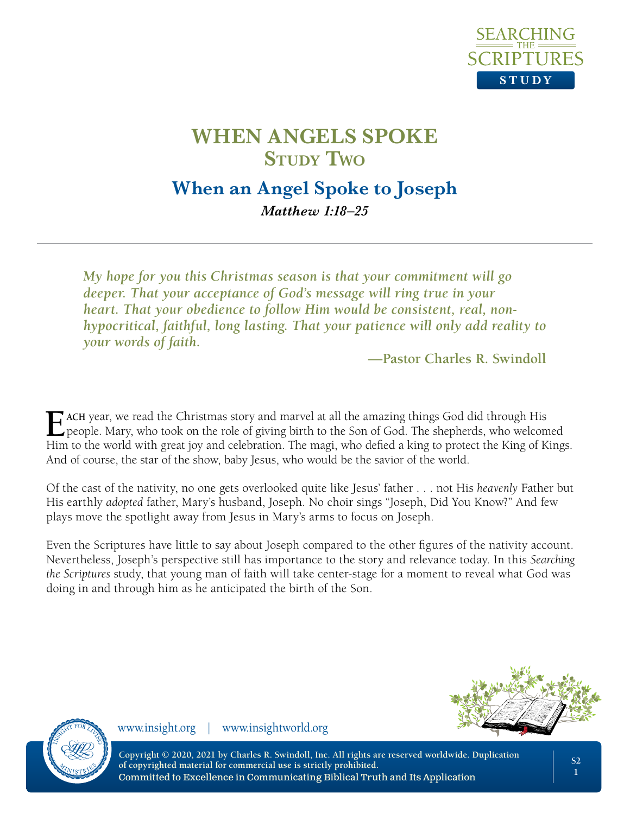

## **When an Angel Spoke to Joseph** *Matthew 1:18–25*

*My hope for you this Christmas season is that your commitment will go deeper. That your acceptance of God's message will ring true in your heart. That your obedience to follow Him would be consistent, real, nonhypocritical, faithful, long lasting. That your patience will only add reality to your words of faith.*

**—Pastor Charles R. Swindoll**

**E** ACH year, we read the Christmas story and marvel at all the amazing things God did through His people. Mary, who took on the role of giving birth to the Son of God. The shepherds, who welcomed Him to the world with great joy and celebration. The magi, who defied a king to protect the King of Kings. And of course, the star of the show, baby Jesus, who would be the savior of the world.

Of the cast of the nativity, no one gets overlooked quite like Jesus' father . . . not His *heavenly* Father but His earthly *adopted* father, Mary's husband, Joseph. No choir sings "Joseph, Did You Know?" And few plays move the spotlight away from Jesus in Mary's arms to focus on Joseph.

Even the Scriptures have little to say about Joseph compared to the other figures of the nativity account. Nevertheless, Joseph's perspective still has importance to the story and relevance today. In this *Searching the Scriptures* study, that young man of faith will take center-stage for a moment to reveal what God was doing in and through him as he anticipated the birth of the Son.





www.insight.org | www.insightworld.org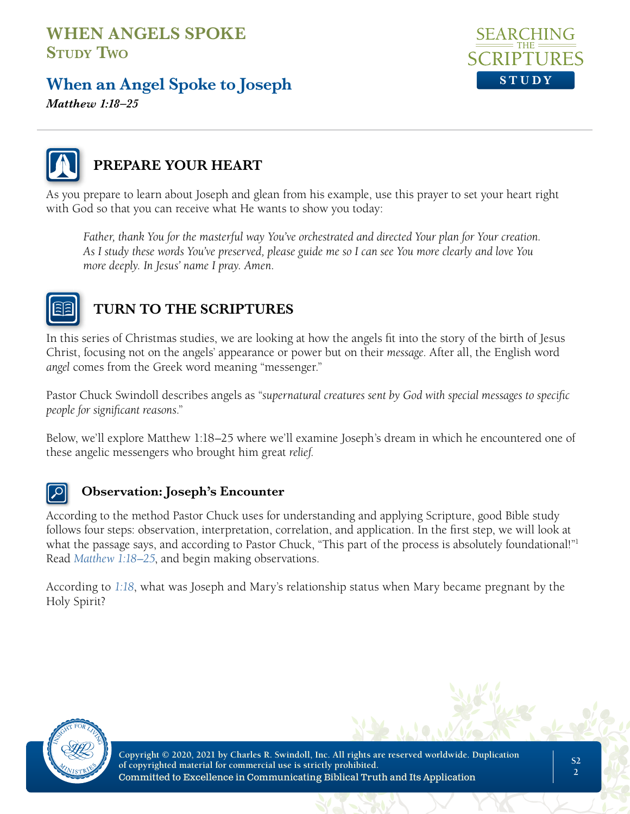# **When an Angel Spoke to Joseph**

SE A R C **STUDY**

*Matthew 1:18–25*



## **PREPARE YOUR HEART**

As you prepare to learn about Joseph and glean from his example, use this prayer to set your heart right with God so that you can receive what He wants to show you today:

*Father, thank You for the masterful way You've orchestrated and directed Your plan for Your creation. As I study these words You've preserved, please guide me so I can see You more clearly and love You more deeply. In Jesus' name I pray. Amen.*



## **TURN TO THE SCRIPTURES**

In this series of Christmas studies, we are looking at how the angels fit into the story of the birth of Jesus Christ, focusing not on the angels' appearance or power but on their *message*. After all, the English word *angel* comes from the Greek word meaning "messenger."

Pastor Chuck Swindoll describes angels as "*supernatural creatures sent by God with special messages to specific people for significant reasons*."

Below, we'll explore Matthew 1:18–25 where we'll examine Joseph's dream in which he encountered one of these angelic messengers who brought him great *relief*.

### **Observation: Joseph's Encounter**

According to the method Pastor Chuck uses for understanding and applying Scripture, good Bible study follows four steps: observation, interpretation, correlation, and application. In the first step, we will look at what the passage says, and according to Pastor Chuck, "This part of the process is absolutely foundational!"<sup>1</sup> Read *Matthew 1:18–25*, and begin making observations.

According to *1:18*, what was Joseph and Mary's relationship status when Mary became pregnant by the Holy Spirit?

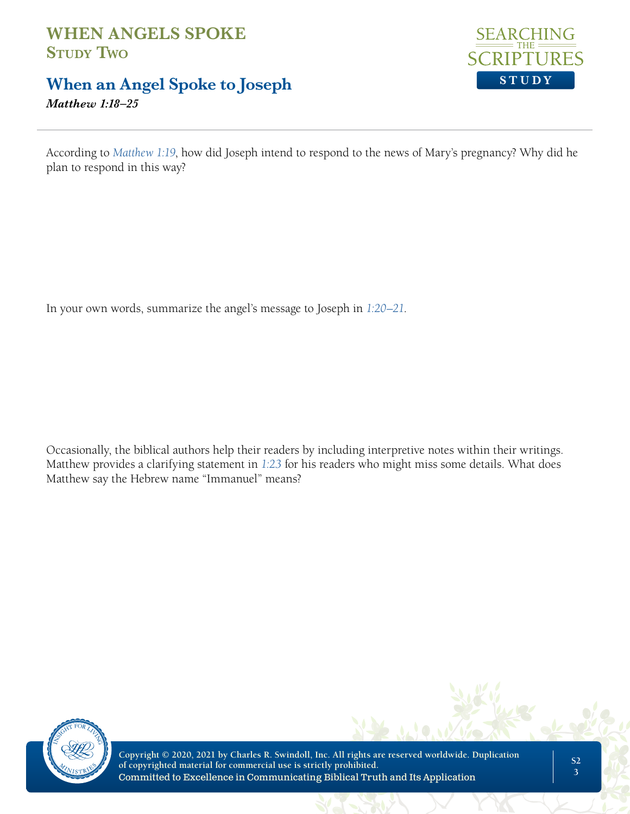## **When an Angel Spoke to Joseph**

*Matthew 1:18–25*



According to *Matthew 1:19*, how did Joseph intend to respond to the news of Mary's pregnancy? Why did he plan to respond in this way?

In your own words, summarize the angel's message to Joseph in *1:20–21*.

Occasionally, the biblical authors help their readers by including interpretive notes within their writings. Matthew provides a clarifying statement in *1:23* for his readers who might miss some details. What does Matthew say the Hebrew name "Immanuel" means?

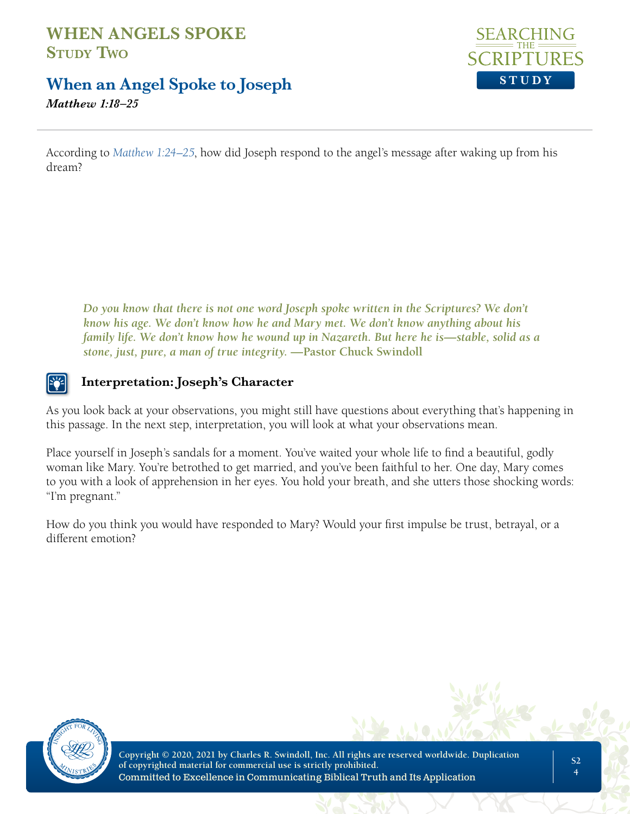## **When an Angel Spoke to Joseph**

*Matthew 1:18–25*



According to *Matthew 1:24–25*, how did Joseph respond to the angel's message after waking up from his dream?

*Do you know that there is not one word Joseph spoke written in the Scriptures? We don't know his age. We don't know how he and Mary met. We don't know anything about his family life. We don't know how he wound up in Nazareth. But here he is—stable, solid as a stone, just, pure, a man of true integrity.* **—Pastor Chuck Swindoll**

## **Interpretation: Joseph's Character**

As you look back at your observations, you might still have questions about everything that's happening in this passage. In the next step, interpretation, you will look at what your observations mean.

Place yourself in Joseph's sandals for a moment. You've waited your whole life to find a beautiful, godly woman like Mary. You're betrothed to get married, and you've been faithful to her. One day, Mary comes to you with a look of apprehension in her eyes. You hold your breath, and she utters those shocking words: "I'm pregnant."

How do you think you would have responded to Mary? Would your first impulse be trust, betrayal, or a different emotion?

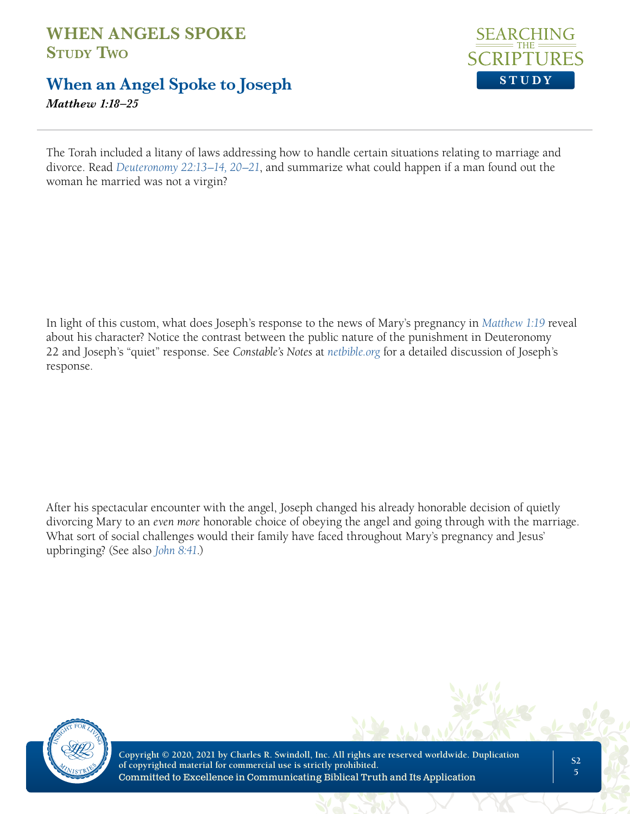# **When an Angel Spoke to Joseph**

*Matthew 1:18–25*



The Torah included a litany of laws addressing how to handle certain situations relating to marriage and divorce. Read *Deuteronomy 22:13–14, 20–21*, and summarize what could happen if a man found out the woman he married was not a virgin?

In light of this custom, what does Joseph's response to the news of Mary's pregnancy in *Matthew 1:19* reveal about his character? Notice the contrast between the public nature of the punishment in Deuteronomy 22 and Joseph's "quiet" response. See *Constable's Notes* at *netbible.org* for a detailed discussion of Joseph's response.

After his spectacular encounter with the angel, Joseph changed his already honorable decision of quietly divorcing Mary to an *even more* honorable choice of obeying the angel and going through with the marriage. What sort of social challenges would their family have faced throughout Mary's pregnancy and Jesus' upbringing? (See also *John 8:41*.)

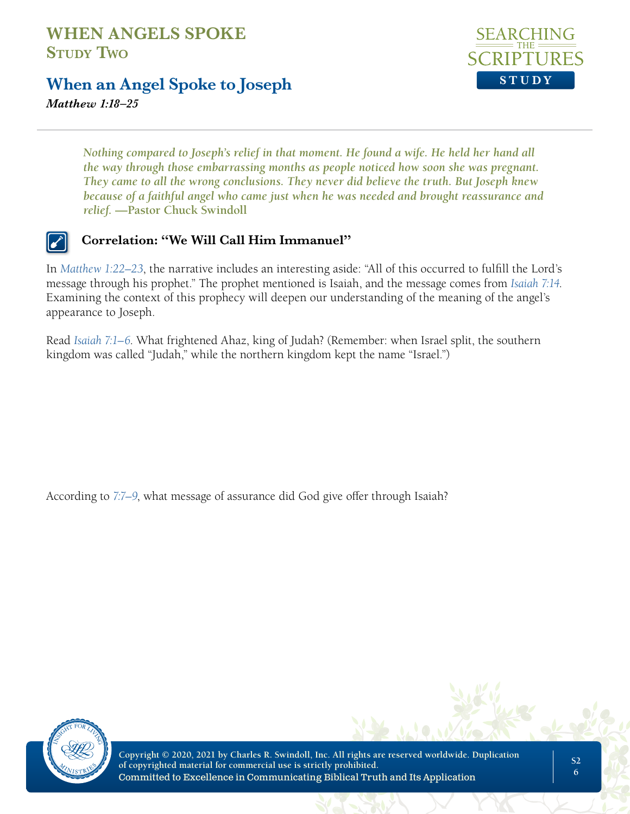## **When an Angel Spoke to Joseph**



*Matthew 1:18–25*

*Nothing compared to Joseph's relief in that moment. He found a wife. He held her hand all the way through those embarrassing months as people noticed how soon she was pregnant. They came to all the wrong conclusions. They never did believe the truth. But Joseph knew because of a faithful angel who came just when he was needed and brought reassurance and relief.* **—Pastor Chuck Swindoll**

### **Correlation: "We Will Call Him Immanuel"**

In *Matthew 1:22-23*, the narrative includes an interesting aside: "All of this occurred to fulfill the Lord's message through his prophet." The prophet mentioned is Isaiah, and the message comes from *Isaiah 7:14*. Examining the context of this prophecy will deepen our understanding of the meaning of the angel's appearance to Joseph.

Read *Isaiah 7:1–6*. What frightened Ahaz, king of Judah? (Remember: when Israel split, the southern kingdom was called "Judah," while the northern kingdom kept the name "Israel.")

According to *7:7–9*, what message of assurance did God give offer through Isaiah?

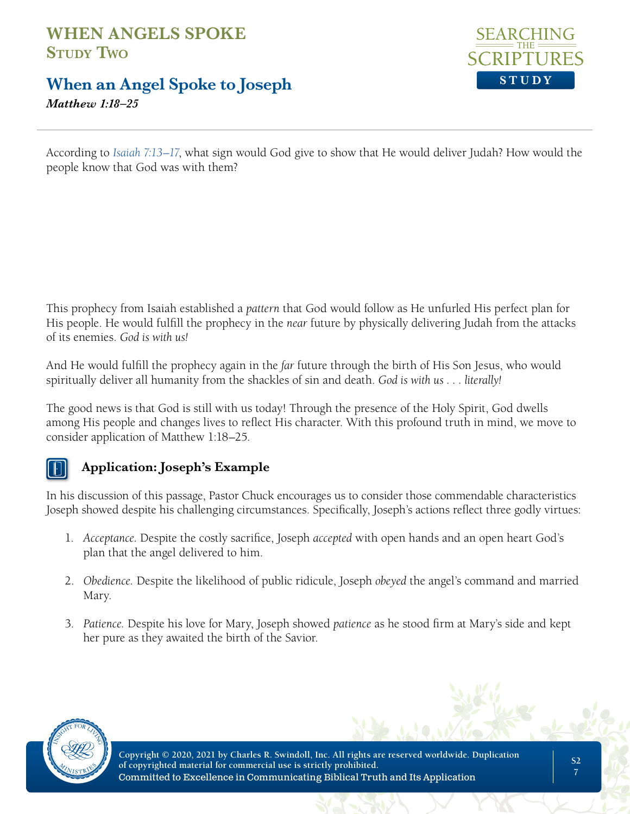**When an Angel Spoke to Joseph**





According to *Isaiah 7:13–17*, what sign would God give to show that He would deliver Judah? How would the people know that God was with them?

This prophecy from Isaiah established a *pattern* that God would follow as He unfurled His perfect plan for His people. He would fulfill the prophecy in the *near* future by physically delivering Judah from the attacks of its enemies. *God is with us!*

And He would fulfill the prophecy again in the *far* future through the birth of His Son Jesus, who would spiritually deliver all humanity from the shackles of sin and death. *God is with us . . . literally!*

The good news is that God is still with us today! Through the presence of the Holy Spirit, God dwells among His people and changes lives to reflect His character. With this profound truth in mind, we move to consider application of Matthew 1:18–25.

## **Application: Joseph's Example**

In his discussion of this passage, Pastor Chuck encourages us to consider those commendable characteristics Joseph showed despite his challenging circumstances. Specifically, Joseph's actions reflect three godly virtues:

- 1. *Acceptance.* Despite the costly sacrifice, Joseph *accepted* with open hands and an open heart God's plan that the angel delivered to him.
- 2. *Obedience.* Despite the likelihood of public ridicule, Joseph *obeyed* the angel's command and married Mary.
- 3. *Patience.* Despite his love for Mary, Joseph showed *patience* as he stood firm at Mary's side and kept her pure as they awaited the birth of the Savior.

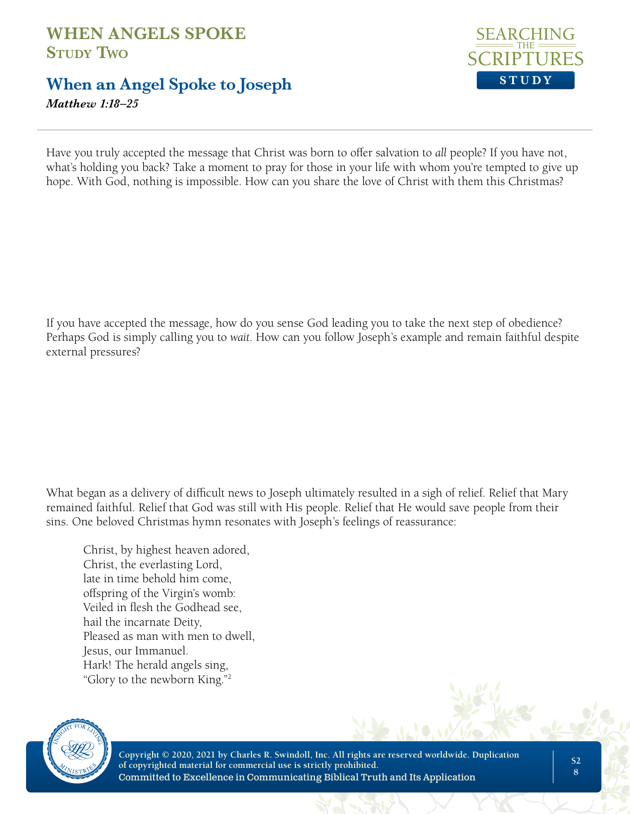# **When an Angel Spoke to Joseph**

*Matthew 1:18–25*



Have you truly accepted the message that Christ was born to offer salvation to *all* people? If you have not, what's holding you back? Take a moment to pray for those in your life with whom you're tempted to give up hope. With God, nothing is impossible. How can you share the love of Christ with them this Christmas?

If you have accepted the message, how do you sense God leading you to take the next step of obedience? Perhaps God is simply calling you to *wait*. How can you follow Joseph's example and remain faithful despite external pressures?

What began as a delivery of difficult news to Joseph ultimately resulted in a sigh of relief. Relief that Mary remained faithful. Relief that God was still with His people. Relief that He would save people from their sins. One beloved Christmas hymn resonates with Joseph's feelings of reassurance:

Christ, by highest heaven adored, Christ, the everlasting Lord, late in time behold him come, offspring of the Virgin's womb: Veiled in flesh the Godhead see, hail the incarnate Deity, Pleased as man with men to dwell, Jesus, our Immanuel. Hark! The herald angels sing, "Glory to the newborn King."2